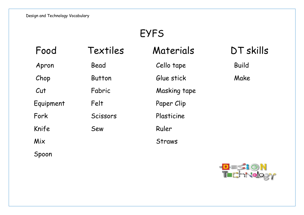# EYFS

| Food      | Textiles      | Materials    | DT skills    |
|-----------|---------------|--------------|--------------|
| Apron     | Bead          | Cello tape   | <b>Build</b> |
| Chop      | <b>Button</b> | Glue stick   | Make         |
| Cut       | Fabric        | Masking tape |              |
| Equipment | Felt          | Paper Clip   |              |
| Fork      | Scissors      | Plasticine   |              |
| Knife     | Sew           | Ruler        |              |
| Mix       |               | Straws       |              |
| Spoon     |               |              |              |

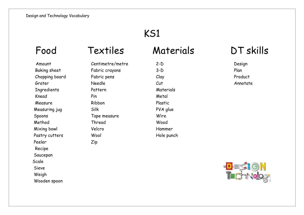## KS1

Amount Centimetre/metre 2-D Design Baking sheet Fabric crayons 3-D Plan Chopping board Fabric pens Clay Clay Froduct Grater Needle Cut Annotate Ingredients Pattern Materials Knead Pin Metal Measure Ribbon Ribbon Plastic Measuring jug Silk Silk PVA glue Spoons Tape measure Wire Method Thread Wood Mixing bowl Velcro Velco Hammer Pastry cutters Wool Wool Hole punch Peeler Zip Recipe Saucepan Scale Sieve

Weigh

Wooden spoon

### Food Textiles Materials DT skills

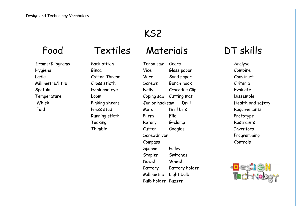### KS2

# Food Textiles Materials DT skills

 Grams/Kilograms Back stitch Tenon saw Gears Analyse Hygiene Binca Vice Glass paper Combine Ladle Cotton Thread Wire Sand paper Construct Millimetre/litre Cross sticth Screws Bench hook Criteria Spatula Hook and eye Nails Crocodile Clip Evaluate Temperature Loom Coping saw Cutting mat Dissemble Whisk **Pinking shears** Junior hacksaw Drill Health and safety Fold Press stud Motor Drill bits Requirements Running sticth Pliers File Prototype Tacking Rotary G-clamp Restraints Thimble Cutter Googles Inventors Screwdriver Programming Compass Controls Spanner Pulley Stapler Switches Dowel Wheel Battery Battery holder Millimetre Light bulb Bulb holder Buzzer